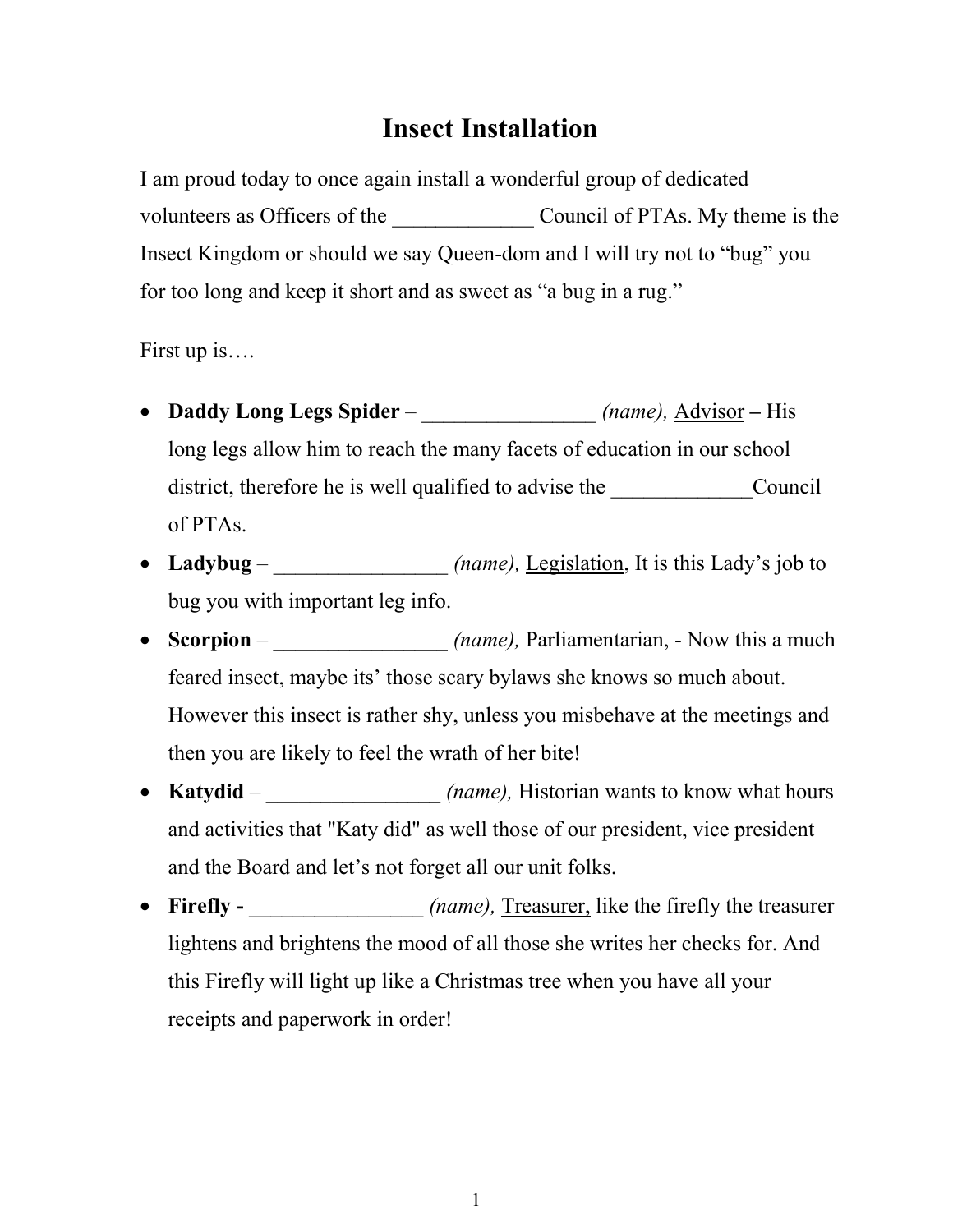## **Insect Installation**

I am proud today to once again install a wonderful group of dedicated volunteers as Officers of the Council of PTAs. My theme is the Insect Kingdom or should we say Queen-dom and I will try not to "bug" you for too long and keep it short and as sweet as "a bug in a rug."

First up is….

- Daddy Long Legs Spider *\_\_\_\_\_\_\_\_\_\_\_\_\_\_\_\_ (name)*, <u>Advisor</u> His long legs allow him to reach the many facets of education in our school district, therefore he is well qualified to advise the Council of PTAs.
- Ladybug *(name), Legislation, It is this Lady's job to* bug you with important leg info.
- **Scorpion** *(name), Parliamentarian,* Now this a much feared insect, maybe its' those scary bylaws she knows so much about. However this insect is rather shy, unless you misbehave at the meetings and then you are likely to feel the wrath of her bite!
- Katydid <u>\_\_\_\_\_\_\_\_\_\_\_\_\_\_</u> (name), <u>Historian</u> wants to know what hours and activities that "Katy did" as well those of our president, vice president and the Board and let's not forget all our unit folks.
- **Firefly -** *(name)*, Treasurer, like the firefly the treasurer lightens and brightens the mood of all those she writes her checks for. And this Firefly will light up like a Christmas tree when you have all your receipts and paperwork in order!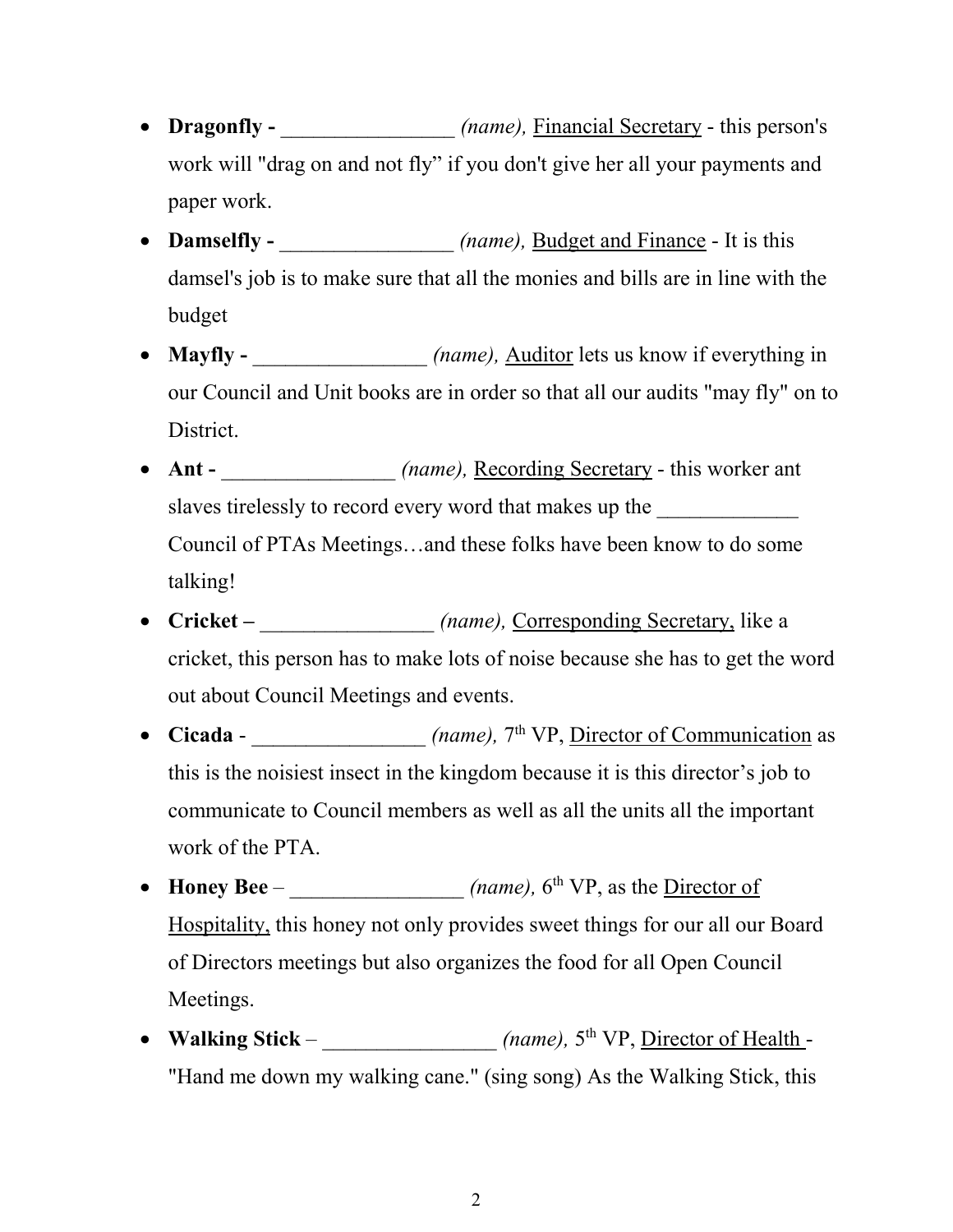- Dragonfly *(name), Financial Secretary this person's* work will "drag on and not fly" if you don't give her all your payments and paper work.
- Damselfly  $\qquad \qquad (name), \text{ Budget and Finance It is this})$ damsel's job is to make sure that all the monies and bills are in line with the budget
- **Mayfly** *(name), Auditor lets us know if everything in* our Council and Unit books are in order so that all our audits "may fly" on to District.
- Ant *(name),* Recording Secretary this worker ant slaves tirelessly to record every word that makes up the Council of PTAs Meetings…and these folks have been know to do some talking!
- **Cricket** *(name),* Corresponding Secretary, like a cricket, this person has to make lots of noise because she has to get the word out about Council Meetings and events.
- **Cicada** *\_\_\_\_\_\_\_\_\_\_\_\_\_\_\_ (name)*,  $7<sup>th</sup> VP,$  <u>Director of Communication</u> as this is the noisiest insect in the kingdom because it is this director's job to communicate to Council members as well as all the units all the important work of the PTA.
- **Honey Bee** *\_\_\_\_\_\_\_\_\_\_\_\_\_\_\_\_\_\_ (name)*, 6<sup>th</sup> VP, as the <u>Director of</u> Hospitality, this honey not only provides sweet things for our all our Board of Directors meetings but also organizes the food for all Open Council Meetings.
- Walking Stick *(name),*  $5^{th} VP$ , Director of Health -"Hand me down my walking cane." (sing song) As the Walking Stick, this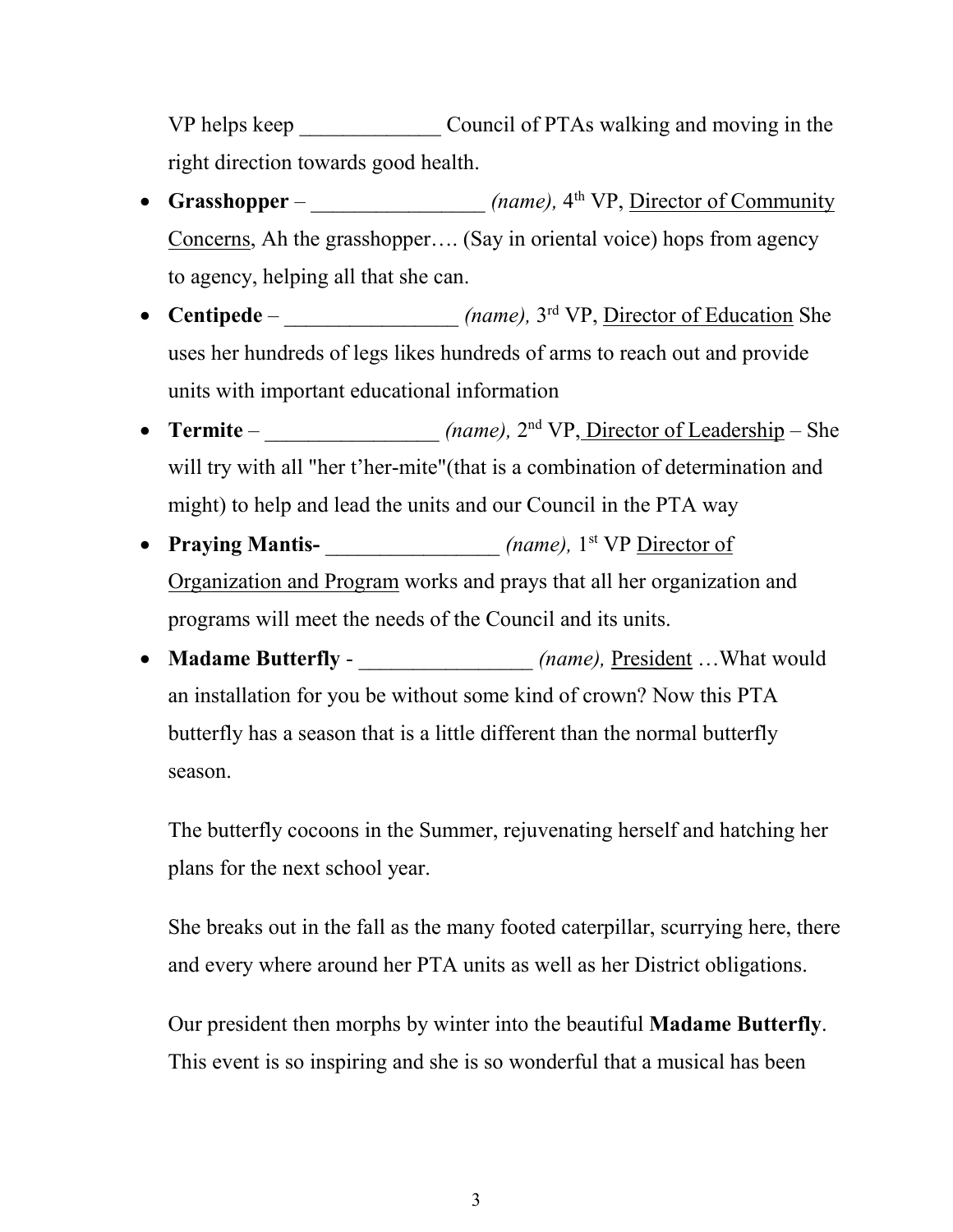VP helps keep Council of PTAs walking and moving in the right direction towards good health.

- Grasshopper *\_\_\_\_\_\_\_\_\_\_\_\_\_\_\_\_\_ (name)*, 4<sup>th</sup> VP, <u>Director of Community</u> Concerns, Ah the grasshopper…. (Say in oriental voice) hops from agency to agency, helping all that she can.
- **Centipede** *\_\_\_\_\_\_\_\_\_\_\_\_\_\_\_\_ (name),* 3<sup>rd</sup> VP, <u>Director of Education</u> She uses her hundreds of legs likes hundreds of arms to reach out and provide units with important educational information
- Termite *\_\_\_\_\_\_\_\_\_\_\_\_\_\_\_\_\_ (name)*, 2<sup>nd</sup> VP<u>, Director of Leadership</u> She will try with all "her t'her-mite"(that is a combination of determination and might) to help and lead the units and our Council in the PTA way
- Praying Mantis-<br> *(name),* 1<sup>st</sup> VP <u>Director of</u> Organization and Program works and prays that all her organization and programs will meet the needs of the Council and its units.
- **Madame Butterfly** *(name), President …What would* an installation for you be without some kind of crown? Now this PTA butterfly has a season that is a little different than the normal butterfly season.

The butterfly cocoons in the Summer, rejuvenating herself and hatching her plans for the next school year.

She breaks out in the fall as the many footed caterpillar, scurrying here, there and every where around her PTA units as well as her District obligations.

Our president then morphs by winter into the beautiful **Madame Butterfly**. This event is so inspiring and she is so wonderful that a musical has been